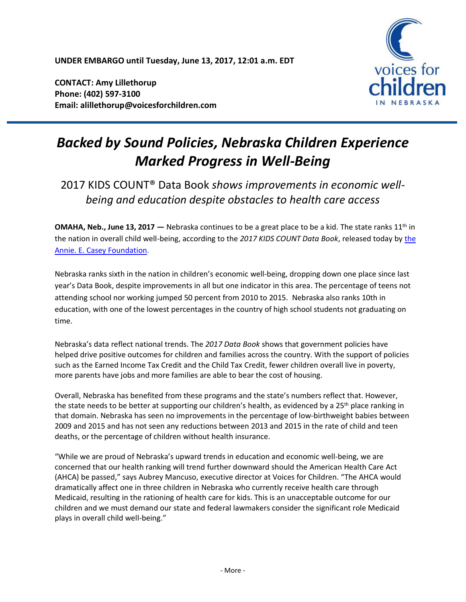**UNDER EMBARGO until Tuesday, June 13, 2017, 12:01 a.m. EDT**

**CONTACT: Amy Lillethorup Phone: (402) 597-3100 Email: alillethorup@voicesforchildren.com**



# *Backed by Sound Policies, Nebraska Children Experience Marked Progress in Well-Being*

## 2017 KIDS COUNT® Data Book *shows improvements in economic wellbeing and education despite obstacles to health care access*

**OMAHA, Neb., June 13, 2017** – Nebraska continues to be a great place to be a kid. The state ranks 11<sup>th</sup> in the nation in overall child well-being, according to the *2017 KIDS COUNT Data Book*, released today b[y the](http://www.aecf.org/)  [Annie. E. Casey Foundation.](http://www.aecf.org/)

Nebraska ranks sixth in the nation in children's economic well-being, dropping down one place since last year's Data Book, despite improvements in all but one indicator in this area. The percentage of teens not attending school nor working jumped 50 percent from 2010 to 2015. Nebraska also ranks 10th in education, with one of the lowest percentages in the country of high school students not graduating on time.

Nebraska's data reflect national trends. The *2017 Data Book* shows that government policies have helped drive positive outcomes for children and families across the country. With the support of policies such as the Earned Income Tax Credit and the Child Tax Credit, fewer children overall live in poverty, more parents have jobs and more families are able to bear the cost of housing.

Overall, Nebraska has benefited from these programs and the state's numbers reflect that. However, the state needs to be better at supporting our children's health, as evidenced by a 25<sup>th</sup> place ranking in that domain. Nebraska has seen no improvements in the percentage of low-birthweight babies between 2009 and 2015 and has not seen any reductions between 2013 and 2015 in the rate of child and teen deaths, or the percentage of children without health insurance.

"While we are proud of Nebraska's upward trends in education and economic well-being, we are concerned that our health ranking will trend further downward should the American Health Care Act (AHCA) be passed," says Aubrey Mancuso, executive director at Voices for Children. "The AHCA would dramatically affect one in three children in Nebraska who currently receive health care through Medicaid, resulting in the rationing of health care for kids. This is an unacceptable outcome for our children and we must demand our state and federal lawmakers consider the significant role Medicaid plays in overall child well-being."